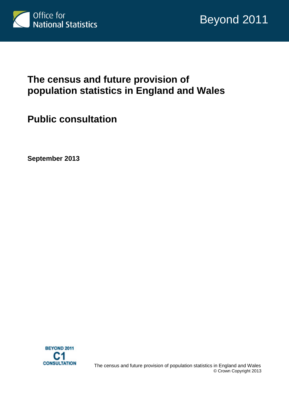

# **The census and future provision of population statistics in England and Wales**

**Public consultation**

**September 2013**

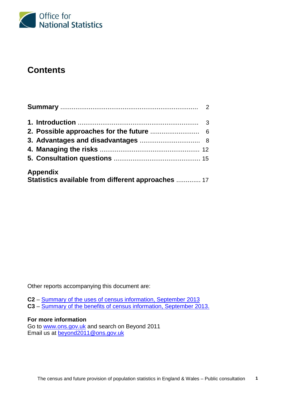

# **Contents**

| <b>Appendix</b>                                    |  |
|----------------------------------------------------|--|
| Statistics available from different approaches  17 |  |

Other reports accompanying this document are:

**C2** – [Summary of the uses of census information, September 2013](http://www.ons.gov.uk/ons/about-ons/get-involved/consultations/consultations/beyond-2011-consultation/beyond-2011-consultation-doc-c2.pdf)

**C3** – [Summary of the benefits of census information, September 2013.](http://www.ons.gov.uk/ons/about-ons/get-involved/consultations/consultations/beyond-2011-consultation/beyond-2011-consultation-doc-c3.pdf)

### **For more information**

Go to [www.ons.gov.uk](http://www.ons.gov.uk/) and search on Beyond 2011 Email us at **beyond2011@ons.gov.uk**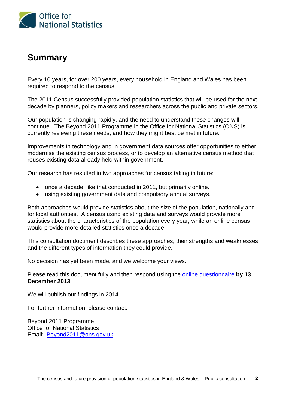

# **Summary**

Every 10 years, for over 200 years, every household in England and Wales has been required to respond to the census.

The 2011 Census successfully provided population statistics that will be used for the next decade by planners, policy makers and researchers across the public and private sectors.

Our population is changing rapidly, and the need to understand these changes will continue. The Beyond 2011 Programme in the Office for National Statistics (ONS) is currently reviewing these needs, and how they might best be met in future.

Improvements in technology and in government data sources offer opportunities to either modernise the existing census process, or to develop an alternative census method that reuses existing data already held within government.

Our research has resulted in two approaches for census taking in future:

- once a decade, like that conducted in 2011, but primarily online.
- using existing government data and compulsory annual surveys.

Both approaches would provide statistics about the size of the population, nationally and for local authorities. A census using existing data and surveys would provide more statistics about the characteristics of the population every year, while an online census would provide more detailed statistics once a decade.

This consultation document describes these approaches, their strengths and weaknesses and the different types of information they could provide.

No decision has yet been made, and we welcome your views.

Please read this document fully and then respond using the [online questionnaire](http://www.surveymonkey.com/s/XY3SK3W) **by 13 December 2013**.

We will publish our findings in 2014.

For further information, please contact:

Beyond 2011 Programme Office for National Statistics Email: [Beyond2011@ons.gov.uk](mailto:Beyond2011@ons.gov.uk)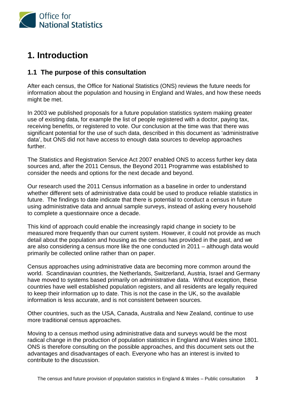

# **1. Introduction**

# **1.1 The purpose of this consultation**

After each census, the Office for National Statistics (ONS) reviews the future needs for information about the population and housing in England and Wales, and how these needs might be met.

In 2003 we published proposals for a future population statistics system making greater use of existing data, for example the list of people registered with a doctor, paying tax, receiving benefits, or registered to vote. Our conclusion at the time was that there was significant potential for the use of such data, described in this document as 'administrative data', but ONS did not have access to enough data sources to develop approaches further.

The Statistics and Registration Service Act 2007 enabled ONS to access further key data sources and, after the 2011 Census, the Beyond 2011 Programme was established to consider the needs and options for the next decade and beyond.

Our research used the 2011 Census information as a baseline in order to understand whether different sets of administrative data could be used to produce reliable statistics in future. The findings to date indicate that there is potential to conduct a census in future using administrative data and annual sample surveys, instead of asking every household to complete a questionnaire once a decade.

This kind of approach could enable the increasingly rapid change in society to be measured more frequently than our current system. However, it could not provide as much detail about the population and housing as the census has provided in the past, and we are also considering a census more like the one conducted in 2011 – although data would primarily be collected online rather than on paper.

Census approaches using administrative data are becoming more common around the world. Scandinavian countries, the Netherlands, Switzerland, Austria, Israel and Germany have moved to systems based primarily on administrative data. Without exception, these countries have well established population registers, and all residents are legally required to keep their information up to date. This is not the case in the UK, so the available information is less accurate, and is not consistent between sources.

Other countries, such as the USA, Canada, Australia and New Zealand, continue to use more traditional census approaches.

Moving to a census method using administrative data and surveys would be the most radical change in the production of population statistics in England and Wales since 1801. ONS is therefore consulting on the possible approaches, and this document sets out the advantages and disadvantages of each. Everyone who has an interest is invited to contribute to the discussion.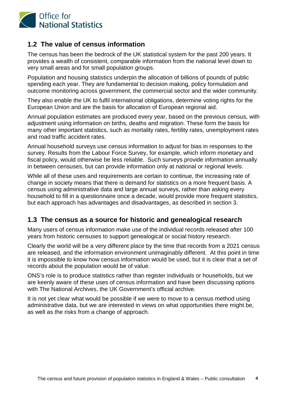

# **1.2 The value of census information**

The census has been the bedrock of the UK statistical system for the past 200 years. It provides a wealth of consistent, comparable information from the national level down to very small areas and for small population groups.

Population and housing statistics underpin the allocation of billions of pounds of public spending each year. They are fundamental to decision making, policy formulation and outcome monitoring across government, the commercial sector and the wider community.

They also enable the UK to fulfil international obligations, determine voting rights for the European Union and are the basis for allocation of European regional aid.

Annual population estimates are produced every year, based on the previous census, with adjustment using information on births, deaths and migration. These form the basis for many other important statistics, such as mortality rates, fertility rates, unemployment rates and road traffic accident rates.

Annual household surveys use census information to adjust for bias in responses to the survey. Results from the Labour Force Survey, for example, which inform monetary and fiscal policy, would otherwise be less reliable. Such surveys provide information annually in between censuses, but can provide information only at national or regional levels.

While all of these uses and requirements are certain to continue, the increasing rate of change in society means that there is demand for statistics on a more frequent basis. A census using administrative data and large annual surveys, rather than asking every household to fill in a questionnaire once a decade, would provide more frequent statistics, but each approach has advantages and disadvantages, as described in section 3.

## **1.3 The census as a source for historic and genealogical research**

Many users of census information make use of the individual records released after 100 years from historic censuses to support genealogical or social history research.

Clearly the world will be a very different place by the time that records from a 2021 census are released, and the information environment unimaginably different. At this point in time it is impossible to know how census information would be used, but it is clear that a set of records about the population would be of value.

ONS's role is to produce statistics rather than register individuals or households, but we are keenly aware of these uses of census information and have been discussing options with The National Archives, the UK Government's official archive.

It is not yet clear what would be possible if we were to move to a census method using administrative data, but we are interested in views on what opportunities there might be, as well as the risks from a change of approach.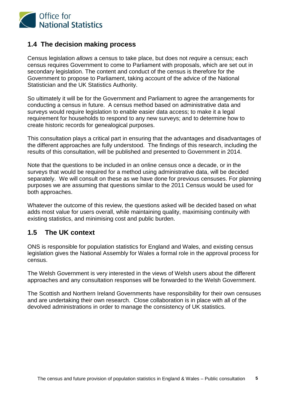

## **1.4 The decision making process**

Census legislation *allows* a census to take place, but does not *require* a census; each census requires Government to come to Parliament with proposals, which are set out in secondary legislation. The content and conduct of the census is therefore for the Government to propose to Parliament, taking account of the advice of the National Statistician and the UK Statistics Authority.

So ultimately it will be for the Government and Parliament to agree the arrangements for conducting a census in future. A census method based on administrative data and surveys would require legislation to enable easier data access; to make it a legal requirement for households to respond to any new surveys; and to determine how to create historic records for genealogical purposes.

This consultation plays a critical part in ensuring that the advantages and disadvantages of the different approaches are fully understood. The findings of this research, including the results of this consultation, will be published and presented to Government in 2014.

Note that the questions to be included in an online census once a decade, or in the surveys that would be required for a method using administrative data, will be decided separately. We will consult on these as we have done for previous censuses. For planning purposes we are assuming that questions similar to the 2011 Census would be used for both approaches.

Whatever the outcome of this review, the questions asked will be decided based on what adds most value for users overall, while maintaining quality, maximising continuity with existing statistics, and minimising cost and public burden.

# **1.5 The UK context**

ONS is responsible for population statistics for England and Wales, and existing census legislation gives the National Assembly for Wales a formal role in the approval process for census.

The Welsh Government is very interested in the views of Welsh users about the different approaches and any consultation responses will be forwarded to the Welsh Government.

The Scottish and Northern Ireland Governments have responsibility for their own censuses and are undertaking their own research. Close collaboration is in place with all of the devolved administrations in order to manage the consistency of UK statistics.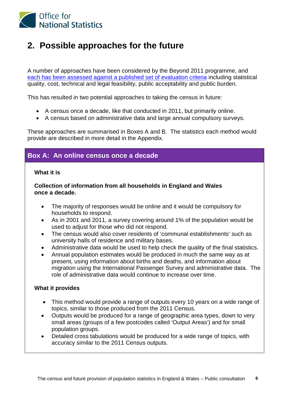

# **2. Possible approaches for the future**

A number of approaches have been considered by the Beyond 2011 programme, and [each has been assessed against a published set of evaluation criteria](http://www.ons.gov.uk/ons/about-ons/who-ons-are/programmes-and-projects/beyond-2011/reports-and-publications/beyond-2011-options-report-2--o2-.pdf) including statistical quality, cost, technical and legal feasibility, public acceptability and public burden.

This has resulted in two potential approaches to taking the census in future:

- A census once a decade, like that conducted in 2011, but primarily online.
- A census based on administrative data and large annual compulsory surveys.

These approaches are summarised in Boxes A and B. The statistics each method would provide are described in more detail in the Appendix.

# **Box A: An online census once a decade**

## **What it is**

**Collection of information from all households in England and Wales once a decade.**

- The majority of responses would be online and it would be compulsory for households to respond.
- As in 2001 and 2011, a survey covering around 1% of the population would be used to adjust for those who did not respond.
- The census would also cover residents of 'communal establishments' such as university halls of residence and military bases.
- Administrative data would be used to help check the quality of the final statistics.
- Annual population estimates would be produced in much the same way as at present, using information about births and deaths, and information about migration using the International Passenger Survey and administrative data. The role of administrative data would continue to increase over time.

### **What it provides**

- This method would provide a range of outputs every 10 years on a wide range of topics, similar to those produced from the 2011 Census.
- Outputs would be produced for a range of geographic area types, down to very small areas (groups of a few postcodes called 'Output Areas') and for small population groups.
- Detailed cross tabulations would be produced for a wide range of topics, with accuracy similar to the 2011 Census outputs.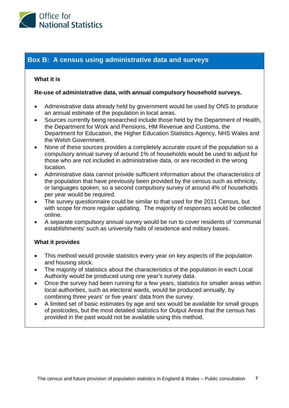

## **Box B: A census using administrative data and surveys**

#### **What it is**

#### **Re-use of administrative data, with annual compulsory household surveys.**

- Administrative data already held by government would be used by ONS to produce an annual estimate of the population in local areas.
- Sources currently being researched include those held by the Department of Health, the Department for Work and Pensions, HM Revenue and Customs, the Department for Education, the Higher Education Statistics Agency, NHS Wales and the Welsh Government.
- None of these sources provides a completely accurate count of the population so a compulsory annual survey of around 1% of households would be used to adjust for those who are not included in administrative data, or are recorded in the wrong location.
- Administrative data cannot provide sufficient information about the characteristics of the population that have previously been provided by the census such as ethnicity, or languages spoken, so a second compulsory survey of around 4% of households per year would be required.
- The survey questionnaire could be similar to that used for the 2011 Census, but with scope for more regular updating. The majority of responses would be collected online.
- A separate compulsory annual survey would be run to cover residents of 'communal establishments' such as university halls of residence and military bases.

### **What it provides**

- This method would provide statistics every year on key aspects of the population and housing stock.
- The majority of statistics about the characteristics of the population in each Local Authority would be produced using one year's survey data.
- Once the survey had been running for a few years, statistics for smaller areas within local authorities, such as electoral wards, would be produced annually, by combining three years' or five years' data from the survey.
- A limited set of basic estimates by age and sex would be available for small groups of postcodes, but the most detailed statistics for Output Areas that the census has provided in the past would not be available using this method.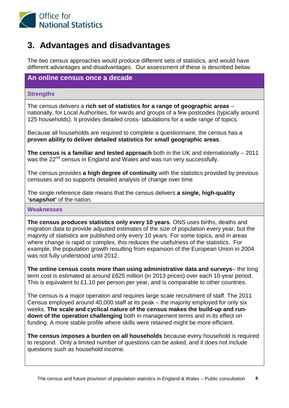

# **3. Advantages and disadvantages**

The two census approaches would produce different sets of statistics, and would have different advantages and disadvantages. Our assessment of these is described below.

## **An online census once a decade**

#### **Strengths**

The census delivers a **rich set of statistics for a range of geographic areas** – nationally, for Local Authorities, for wards and groups of a few postcodes (typically around 125 households). It provides detailed cross- tabulations for a wide range of topics.

Because all households are required to complete a questionnaire, the census has a **proven ability to deliver detailed statistics for small geographic areas**.

**The census is a familiar and tested approach** both in the UK and internationally – 2011 was the 22<sup>nd</sup> census in England and Wales and was run very successfully.

The census provides **a high degree of continuity** with the statistics provided by previous censuses and so supports detailed analysis of change over time

The single reference date means that the census delivers **a single, high-quality 'snapshot'** of the nation.

#### **Weaknesses**

**The census produces statistics only every 10 years**. ONS uses births, deaths and migration data to provide adjusted estimates of the size of population every year, but the majority of statistics are published only every 10 years. For some topics, and in areas where change is rapid or complex, this reduces the usefulness of the statistics. For example, the population growth resulting from expansion of the European Union in 2004 was not fully understood until 2012.

**The online census costs more than using administrative data and surveys**– the long term cost is estimated at around £625 million (in 2013 prices) over each 10-year period. This is equivalent to £1.10 per person per year, and is comparable to other countries.

The census is a major operation and requires large scale recruitment of staff. The 2011 Census employed around 40,000 staff at its peak – the majority employed for only six weeks. **The scale and cyclical nature of the census makes the build-up and rundown of the operation challenging** both in management terms and in its effect on funding. A more stable profile where skills were retained might be more efficient.

**The census imposes a burden on all households** because every household is required to respond. Only a limited number of questions can be asked, and it does not include questions such as household income.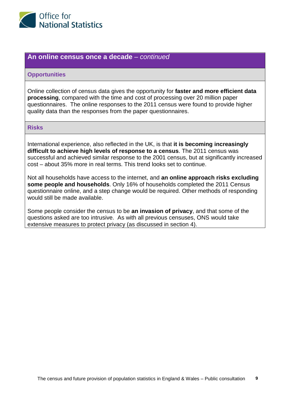

### **An online census once a decade** *– continued*

#### **Opportunities**

Online collection of census data gives the opportunity for **faster and more efficient data processing**, compared with the time and cost of processing over 20 million paper questionnaires. The online responses to the 2011 census were found to provide higher quality data than the responses from the paper questionnaires.

#### **Risks**

International experience, also reflected in the UK, is that **it is becoming increasingly difficult to achieve high levels of response to a census**. The 2011 census was successful and achieved similar response to the 2001 census, but at significantly increased cost – about 35% more in real terms. This trend looks set to continue.

Not all households have access to the internet, and **an online approach risks excluding some people and households**. Only 16% of households completed the 2011 Census questionnaire online, and a step change would be required. Other methods of responding would still be made available.

Some people consider the census to be **an invasion of privacy**, and that some of the questions asked are too intrusive. As with all previous censuses, ONS would take extensive measures to protect privacy (as discussed in section 4).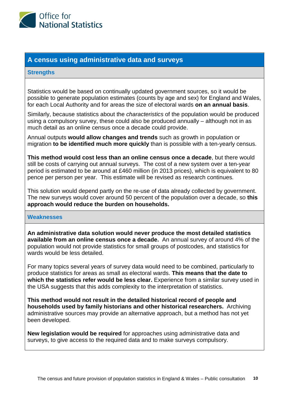

## **A census using administrative data and surveys**

### **Strengths**

Statistics would be based on continually updated government sources, so it would be possible to generate population estimates (counts by age and sex) for England and Wales, for each Local Authority and for areas the size of electoral wards **on an annual basis**.

Similarly, because statistics about the *characteristics* of the population would be produced using a compulsory survey, these could also be produced annually – although not in as much detail as an online census once a decade could provide.

Annual outputs **would allow changes and trends** such as growth in population or migration **to be identified much more quickly** than is possible with a ten-yearly census.

**This method would cost less than an online census once a decade**, but there would still be costs of carrying out annual surveys. The cost of a new system over a ten-year period is estimated to be around at £460 million (in 2013 prices), which is equivalent to 80 pence per person per year. This estimate will be revised as research continues.

This solution would depend partly on the re-use of data already collected by government. The new surveys would cover around 50 percent of the population over a decade, so **this approach would reduce the burden on households.**

#### **Weaknesses**

**An administrative data solution would never produce the most detailed statistics available from an online census once a decade.** An annual survey of around 4% of the population would not provide statistics for small groups of postcodes, and statistics for wards would be less detailed.

For many topics several years of survey data would need to be combined, particularly to produce statistics for areas as small as electoral wards. **This means that the date to which the statistics refer would be less clear.** Experience from a similar survey used in the USA suggests that this adds complexity to the interpretation of statistics.

**This method would not result in the detailed historical record of people and households used by family historians and other historical researchers.** Archiving administrative sources may provide an alternative approach, but a method has not yet been developed.

**New legislation would be required** for approaches using administrative data and surveys, to give access to the required data and to make surveys compulsory.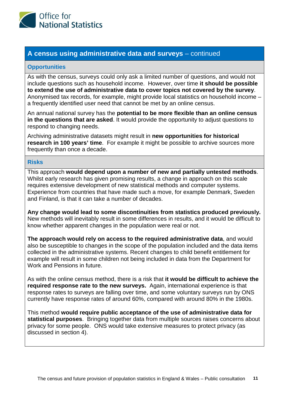

## **A census using administrative data and surveys** – continued

#### **Opportunities**

As with the census, surveys could only ask a limited number of questions, and would not include questions such as household income. However, over time **it should be possible to extend the use of administrative data to cover topics not covered by the survey**. Anonymised tax records, for example, might provide local statistics on household income – a frequently identified user need that cannot be met by an online census.

An annual national survey has the **potential to be more flexible than an online census in the questions that are asked**. It would provide the opportunity to adjust questions to respond to changing needs.

Archiving administrative datasets might result in **new opportunities for historical research in 100 years' time**. For example it might be possible to archive sources more frequently than once a decade.

#### **Risks**

This approach **would depend upon a number of new and partially untested methods**. Whilst early research has given promising results, a change in approach on this scale requires extensive development of new statistical methods and computer systems. Experience from countries that have made such a move, for example Denmark, Sweden and Finland, is that it can take a number of decades.

**Any change would lead to some discontinuities from statistics produced previously.**  New methods will inevitably result in some differences in results, and it would be difficult to know whether apparent changes in the population were real or not.

**The approach would rely on access to the required administrative data**, and would also be susceptible to changes in the scope of the population included and the data items collected in the administrative systems. Recent changes to child benefit entitlement for example will result in some children not being included in data from the Department for Work and Pensions in future.

As with the online census method, there is a risk that **it would be difficult to achieve the required response rate to the new surveys.** Again, international experience is that response rates to surveys are falling over time, and some voluntary surveys run by ONS currently have response rates of around 60%, compared with around 80% in the 1980s.

This method **would require public acceptance of the use of administrative data for statistical purposes**. Bringing together data from multiple sources raises concerns about privacy for some people. ONS would take extensive measures to protect privacy (as discussed in section 4).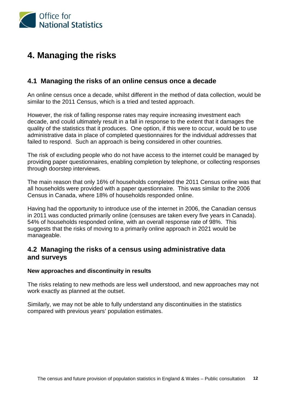

# **4. Managing the risks**

## **4.1 Managing the risks of an online census once a decade**

An online census once a decade, whilst different in the method of data collection, would be similar to the 2011 Census, which is a tried and tested approach.

However, the risk of falling response rates may require increasing investment each decade, and could ultimately result in a fall in response to the extent that it damages the quality of the statistics that it produces. One option, if this were to occur, would be to use administrative data in place of completed questionnaires for the individual addresses that failed to respond. Such an approach is being considered in other countries.

The risk of excluding people who do not have access to the internet could be managed by providing paper questionnaires, enabling completion by telephone, or collecting responses through doorstep interviews.

The main reason that only 16% of households completed the 2011 Census online was that all households were provided with a paper questionnaire. This was similar to the 2006 Census in Canada, where 18% of households responded online.

Having had the opportunity to introduce use of the internet in 2006, the Canadian census in 2011 was conducted primarily online (censuses are taken every five years in Canada). 54% of households responded online, with an overall response rate of 98%. This suggests that the risks of moving to a primarily online approach in 2021 would be manageable.

## **4.2 Managing the risks of a census using administrative data and surveys**

### **New approaches and discontinuity in results**

The risks relating to new methods are less well understood, and new approaches may not work exactly as planned at the outset.

Similarly, we may not be able to fully understand any discontinuities in the statistics compared with previous years' population estimates.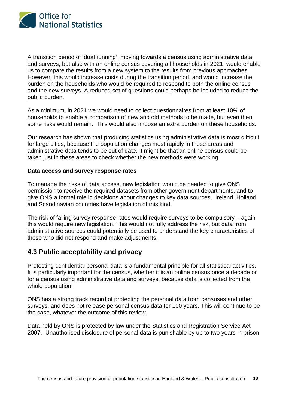

A transition period of 'dual running', moving towards a census using administrative data and surveys, but also with an online census covering all households in 2021, would enable us to compare the results from a new system to the results from previous approaches. However, this would increase costs during the transition period, and would increase the burden on the households who would be required to respond to both the online census and the new surveys. A reduced set of questions could perhaps be included to reduce the public burden.

As a minimum, in 2021 we would need to collect questionnaires from at least 10% of households to enable a comparison of new and old methods to be made, but even then some risks would remain. This would also impose an extra burden on these households.

Our research has shown that producing statistics using administrative data is most difficult for large cities, because the population changes most rapidly in these areas and administrative data tends to be out of date. It might be that an online census could be taken just in these areas to check whether the new methods were working.

#### **Data access and survey response rates**

To manage the risks of data access, new legislation would be needed to give ONS permission to receive the required datasets from other government departments, and to give ONS a formal role in decisions about changes to key data sources. Ireland, Holland and Scandinavian countries have legislation of this kind.

The risk of falling survey response rates would require surveys to be compulsory – again this would require new legislation. This would not fully address the risk, but data from administrative sources could potentially be used to understand the key characteristics of those who did not respond and make adjustments.

## **4.3 Public acceptability and privacy**

Protecting confidential personal data is a fundamental principle for all statistical activities. It is particularly important for the census, whether it is an online census once a decade or for a census using administrative data and surveys, because data is collected from the whole population.

ONS has a strong track record of protecting the personal data from censuses and other surveys, and does not release personal census data for 100 years. This will continue to be the case, whatever the outcome of this review.

Data held by ONS is protected by law under the Statistics and Registration Service Act 2007. Unauthorised disclosure of personal data is punishable by up to two years in prison.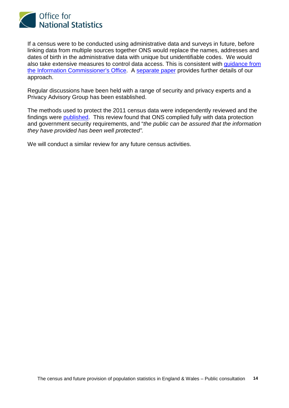

If a census were to be conducted using administrative data and surveys in future, before linking data from multiple sources together ONS would replace the names, addresses and dates of birth in the administrative data with unique but unidentifiable codes. We would also take extensive measures to control data access. This is consistent with [guidance from](http://www.ico.org.uk/Global/~/media/documents/library/Data_Protection/Practical_application/anonymisation_code.ashx)  [the Information Commissioner's Office.](http://www.ico.org.uk/Global/~/media/documents/library/Data_Protection/Practical_application/anonymisation_code.ashx) A [separate paper](http://www.ons.gov.uk/ons/about-ons/who-ons-are/programmes-and-projects/beyond-2011/reports-and-publications/beyond-2011-safeguarding-data-for-research-our-policy--m10-.pdf) provides further details of our approach.

Regular discussions have been held with a range of security and privacy experts and a Privacy Advisory Group has been established.

The methods used to protect the 2011 census data were independently reviewed and the findings were [published.](http://www.ons.gov.uk/ons/guide-method/census/2011/the-2011-census/the-2011-census-project/commitment-to-confidentiality/2011-census-security--final-report-to-the-census-offices.pdf) This review found that ONS complied fully with data protection and government security requirements, and "*the public can be assured that the information they have provided has been well protected".*

We will conduct a similar review for any future census activities.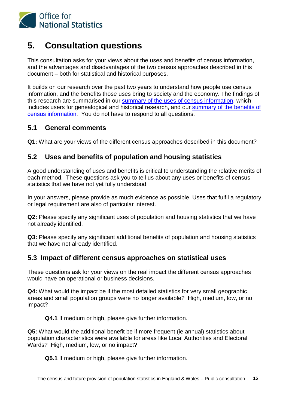

# **5. Consultation questions**

This consultation asks for your views about the uses and benefits of census information, and the advantages and disadvantages of the two census approaches described in this document – both for statistical and historical purposes.

It builds on our research over the past two years to understand how people use census information, and the benefits those uses bring to society and the economy. The findings of this research are summarised in our [summary of the uses of census information,](http://ons.gov.uk/ons/about-ons/get-involved/consultations/consultations/beyond-2011-consultation/beyond-2011-consultation-doc-c2.pdf) which includes users for genealogical and historical research, and our [summary of the benefits of](http://ons.gov.uk/ons/about-ons/get-involved/consultations/consultations/beyond-2011-consultation/beyond-2011-consultation-doc-c3.pdf)  [census information.](http://ons.gov.uk/ons/about-ons/get-involved/consultations/consultations/beyond-2011-consultation/beyond-2011-consultation-doc-c3.pdf) You do not have to respond to all questions.

## **5.1 General comments**

**Q1:** What are your views of the different census approaches described in this document?

# **5.2 Uses and benefits of population and housing statistics**

A good understanding of uses and benefits is critical to understanding the relative merits of each method. These questions ask you to tell us about any uses or benefits of census statistics that we have not yet fully understood.

In your answers, please provide as much evidence as possible. Uses that fulfil a regulatory or legal requirement are also of particular interest.

**Q2:** Please specify any significant uses of population and housing statistics that we have not already identified.

**Q3:** Please specify any significant additional benefits of population and housing statistics that we have not already identified.

## **5.3 Impact of different census approaches on statistical uses**

These questions ask for your views on the real impact the different census approaches would have on operational or business decisions.

**Q4:** What would the impact be if the most detailed statistics for very small geographic areas and small population groups were no longer available? High, medium, low, or no impact?

**Q4.1** If medium or high, please give further information.

**Q5:** What would the additional benefit be if more frequent (ie annual) statistics about population characteristics were available for areas like Local Authorities and Electoral Wards? High, medium, low, or no impact?

**Q5.1** If medium or high, please give further information.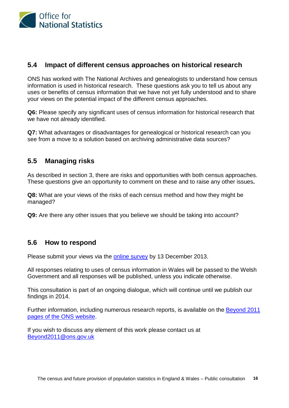

## **5.4 Impact of different census approaches on historical research**

ONS has worked with The National Archives and genealogists to understand how census information is used in historical research. These questions ask you to tell us about any uses or benefits of census information that we have not yet fully understood and to share your views on the potential impact of the different census approaches.

**Q6:** Please specify any significant uses of census information for historical research that we have not already identified.

**Q7:** What advantages or disadvantages for genealogical or historical research can you see from a move to a solution based on archiving administrative data sources?

# **5.5 Managing risks**

As described in section 3, there are risks and opportunities with both census approaches. These questions give an opportunity to comment on these and to raise any other issues**.**

**Q8:** What are your views of the risks of each census method and how they might be managed?

**Q9:** Are there any other issues that you believe we should be taking into account?

## **5.6 How to respond**

Please submit your views via the [online survey](http://www.surveymonkey.com/s/XY3SK3W) by 13 December 2013.

All responses relating to uses of census information in Wales will be passed to the Welsh Government and all responses will be published, unless you indicate otherwise.

This consultation is part of an ongoing dialogue, which will continue until we publish our findings in 2014.

Further information, including numerous research reports, is available on the [Beyond 2011](http://www.ons.gov.uk/ons/about-ons/who-ons-are/programmes-and-projects/beyond-2011/index.html)  [pages of the ONS website.](http://www.ons.gov.uk/ons/about-ons/who-ons-are/programmes-and-projects/beyond-2011/index.html)

If you wish to discuss any element of this work please contact us at [Beyond2011@ons.gov.uk](mailto:Beyond2011@ons.gov.uk)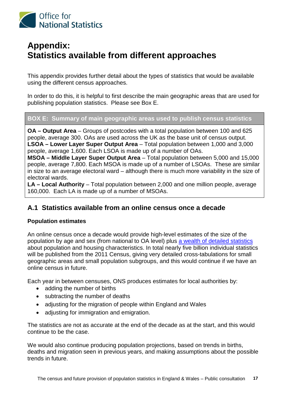

# **Appendix: Statistics available from different approaches**

This appendix provides further detail about the types of statistics that would be available using the different census approaches.

In order to do this, it is helpful to first describe the main geographic areas that are used for publishing population statistics. Please see Box E.

## **BOX E: Summary of main geographic areas used to publish census statistics**

**OA – Output Area** – Groups of postcodes with a total population between 100 and 625 people, average 300. OAs are used across the UK as the base unit of census output. **LSOA – Lower Layer Super Output Area** – Total population between 1,000 and 3,000 people, average 1,600. Each LSOA is made up of a number of OAs.

**MSOA – Middle Layer Super Output Area** – Total population between 5,000 and 15,000 people, average 7,800. Each MSOA is made up of a number of LSOAs. These are similar in size to an average electoral ward – although there is much more variability in the size of electoral wards.

**LA – Local Authority** – Total population between 2,000 and one million people, average 160,000. Each LA is made up of a number of MSOAs.

## **A.1 Statistics available from an online census once a decade**

### **Population estimates**

An online census once a decade would provide high-level estimates of the size of the population by age and sex (from national to OA level) plus [a wealth of detailed statistics](http://www.ons.gov.uk/ons/guide-method/census/2011/census-data/2011-census-prospectus/index.html) about population and housing characteristics. In total nearly five billion individual statistics will be published from the 2011 Census, giving very detailed cross-tabulations for small geographic areas and small population subgroups, and this would continue if we have an online census in future.

Each year in between censuses, ONS produces estimates for local authorities by:

- adding the number of births
- subtracting the number of deaths
- adjusting for the migration of people within England and Wales
- adjusting for immigration and emigration.

The statistics are not as accurate at the end of the decade as at the start, and this would continue to be the case.

We would also continue producing population projections, based on trends in births, deaths and migration seen in previous years, and making assumptions about the possible trends in future.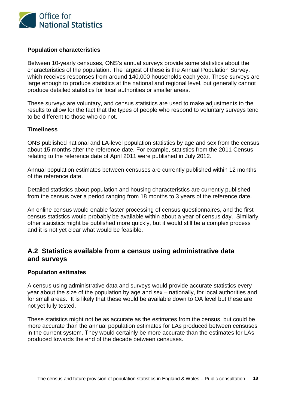

### **Population characteristics**

Between 10-yearly censuses, ONS's annual surveys provide some statistics about the characteristics of the population. The largest of these is the Annual Population Survey, which receives responses from around 140,000 households each year. These surveys are large enough to produce statistics at the national and regional level, but generally cannot produce detailed statistics for local authorities or smaller areas.

These surveys are voluntary, and census statistics are used to make adjustments to the results to allow for the fact that the types of people who respond to voluntary surveys tend to be different to those who do not.

### **Timeliness**

ONS published national and LA-level population statistics by age and sex from the census about 15 months after the reference date. For example, statistics from the 2011 Census relating to the reference date of April 2011 were published in July 2012.

Annual population estimates between censuses are currently published within 12 months of the reference date.

Detailed statistics about population and housing characteristics are currently published from the census over a period ranging from 18 months to 3 years of the reference date.

An online census would enable faster processing of census questionnaires, and the first census statistics would probably be available within about a year of census day. Similarly, other statistics might be published more quickly, but it would still be a complex process and it is not yet clear what would be feasible.

## **A.2 Statistics available from a census using administrative data and surveys**

### **Population estimates**

A census using administrative data and surveys would provide accurate statistics every year about the size of the population by age and sex – nationally, for local authorities and for small areas. It is likely that these would be available down to OA level but these are not yet fully tested.

These statistics might not be as accurate as the estimates from the census, but could be more accurate than the annual population estimates for LAs produced between censuses in the current system. They would certainly be more accurate than the estimates for LAs produced towards the end of the decade between censuses.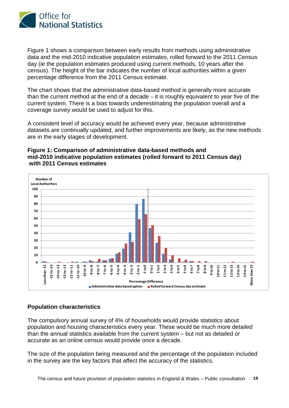

Figure 1 shows a comparison between early results from methods using administrative data and the mid-2010 indicative population estimates, rolled forward to the 2011 Census day (ie the population estimates produced using current methods, 10 years after the census). The height of the bar indicates the number of local authorities within a given percentage difference from the 2011 Census estimate.

The chart shows that the administrative data-based method is generally more accurate than the current method at the end of a decade – it is roughly equivalent to year five of the current system. There is a bias towards underestimating the population overall and a coverage survey would be used to adjust for this.

A consistent level of accuracy would be achieved every year, because administrative datasets are continually updated, and further improvements are likely, as the new methods are in the early stages of development.

### **Figure 1: Comparison of administrative data-based methods and mid-2010 indicative population estimates (rolled forward to 2011 Census day) with 2011 Census estimates**



### **Population characteristics**

The compulsory annual survey of 4% of households would provide statistics about population and housing characteristics every year. These would be much more detailed than the annual statistics available from the current system – but not as detailed or accurate as an online census would provide once a decade.

The size of the population being measured and the percentage of the population included in the survey are the key factors that affect the accuracy of the statistics.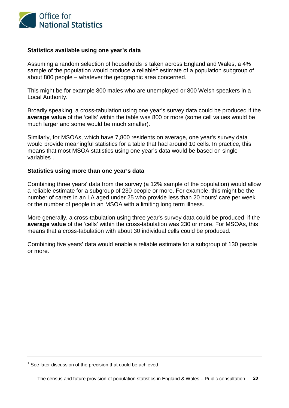

#### **Statistics available using one year's data**

Assuming a random selection of households is taken across England and Wales, a 4% sample of the population would produce a reliable<sup>[1](#page-20-0)</sup> estimate of a population subgroup of about 800 people – whatever the geographic area concerned.

This might be for example 800 males who are unemployed or 800 Welsh speakers in a Local Authority.

Broadly speaking, a cross-tabulation using one year's survey data could be produced if the **average value** of the 'cells' within the table was 800 or more (some cell values would be much larger and some would be much smaller).

Similarly, for MSOAs, which have 7,800 residents on average, one year's survey data would provide meaningful statistics for a table that had around 10 cells. In practice, this means that most MSOA statistics using one year's data would be based on single variables .

#### **Statistics using more than one year's data**

Combining three years' data from the survey (a 12% sample of the population) would allow a reliable estimate for a subgroup of 230 people or more. For example, this might be the number of carers in an LA aged under 25 who provide less than 20 hours' care per week or the number of people in an MSOA with a limiting long term illness.

More generally, a cross-tabulation using three year's survey data could be produced if the **average value** of the 'cells' within the cross-tabulation was 230 or more. For MSOAs, this means that a cross-tabulation with about 30 individual cells could be produced.

Combining five years' data would enable a reliable estimate for a subgroup of 130 people or more.

<span id="page-20-0"></span> $1$  See later discussion of the precision that could be achieved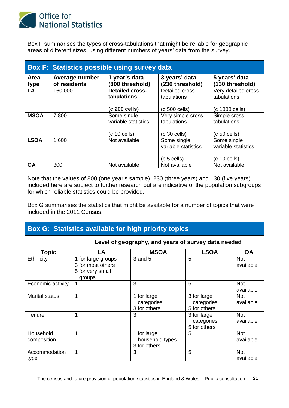

Box F summarises the types of cross-tabulations that might be reliable for geographic areas of different sizes, using different numbers of years' data from the survey.

| <b>Box F: Statistics possible using survey data</b> |                                |                                                        |                                                     |                                                       |  |  |  |  |
|-----------------------------------------------------|--------------------------------|--------------------------------------------------------|-----------------------------------------------------|-------------------------------------------------------|--|--|--|--|
| Area<br>type                                        | Average number<br>of residents | 1 year's data<br>(800 threshold)                       | 3 years' data<br>(230 threshold)                    | 5 years' data<br>(130 threshold)                      |  |  |  |  |
| <b>LA</b>                                           | 160,000                        | <b>Detailed cross-</b><br>tabulations<br>(c 200 cells) | Detailed cross-<br>tabulations<br>$(c 500$ cells)   | Very detailed cross-<br>tabulations<br>(c 1000 cells) |  |  |  |  |
| <b>MSOA</b>                                         | 7,800                          | Some single<br>variable statistics<br>$(c 10$ cells)   | Very simple cross-<br>tabulations<br>$(c 30$ cells) | Simple cross-<br>tabulations<br>$(c 50$ cells)        |  |  |  |  |
| <b>LSOA</b>                                         | 1,600                          | Not available                                          | Some single<br>variable statistics<br>(c 5 cells)   | Some single<br>variable statistics<br>$(c 10$ cells)  |  |  |  |  |
| <b>OA</b>                                           | 300                            | Not available                                          | Not available                                       | Not available                                         |  |  |  |  |

Note that the values of 800 (one year's sample), 230 (three years) and 130 (five years) included here are subject to further research but are indicative of the population subgroups for which reliable statistics could be provided.

Box G summarises the statistics that might be available for a number of topics that were included in the 2011 Census.

| <b>Box G: Statistics available for high priority topics</b> |                                                                       |                                                |                                           |                         |  |  |  |  |
|-------------------------------------------------------------|-----------------------------------------------------------------------|------------------------------------------------|-------------------------------------------|-------------------------|--|--|--|--|
|                                                             | Level of geography, and years of survey data needed                   |                                                |                                           |                         |  |  |  |  |
| <b>Topic</b>                                                | LA                                                                    | <b>MSOA</b>                                    | <b>LSOA</b>                               | <b>OA</b>               |  |  |  |  |
| Ethnicity                                                   | 1 for large groups<br>3 for most others<br>5 for very small<br>groups | 3 and 5                                        | 5                                         | <b>Not</b><br>available |  |  |  |  |
| Economic activity                                           | 1                                                                     | 3                                              | 5                                         | <b>Not</b><br>available |  |  |  |  |
| <b>Marital status</b>                                       | 1                                                                     | 1 for large<br>categories<br>3 for others      | 3 for large<br>categories<br>5 for others | <b>Not</b><br>available |  |  |  |  |
| Tenure                                                      | 1                                                                     | 3                                              | 3 for large<br>categories<br>5 for others | <b>Not</b><br>available |  |  |  |  |
| Household<br>composition                                    | 1                                                                     | 1 for large<br>household types<br>3 for others | 5                                         | <b>Not</b><br>available |  |  |  |  |
| Accommodation<br>type                                       | 1                                                                     | 3                                              | 5                                         | <b>Not</b><br>available |  |  |  |  |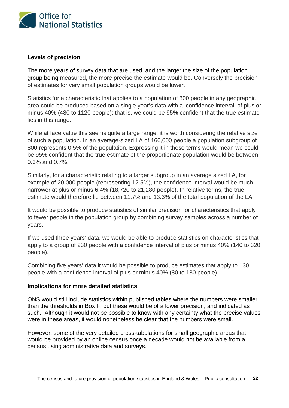

### **Levels of precision**

The more years of survey data that are used, and the larger the size of the population group being measured, the more precise the estimate would be. Conversely the precision of estimates for very small population groups would be lower.

Statistics for a characteristic that applies to a population of 800 people in any geographic area could be produced based on a single year's data with a 'confidence interval' of plus or minus 40% (480 to 1120 people); that is, we could be 95% confident that the true estimate lies in this range.

While at face value this seems quite a large range, it is worth considering the relative size of such a population. In an average-sized LA of 160,000 people a population subgroup of 800 represents 0.5% of the population. Expressing it in these terms would mean we could be 95% confident that the true estimate of the proportionate population would be between 0.3% and 0.7%.

Similarly, for a characteristic relating to a larger subgroup in an average sized LA, for example of 20,000 people (representing 12.5%), the confidence interval would be much narrower at plus or minus 6.4% (18,720 to 21,280 people). In relative terms, the true estimate would therefore lie between 11.7% and 13.3% of the total population of the LA.

It would be possible to produce statistics of similar precision for characteristics that apply to fewer people in the population group by combining survey samples across a number of years.

If we used three years' data, we would be able to produce statistics on characteristics that apply to a group of 230 people with a confidence interval of plus or minus 40% (140 to 320 people).

Combining five years' data it would be possible to produce estimates that apply to 130 people with a confidence interval of plus or minus 40% (80 to 180 people).

### **Implications for more detailed statistics**

ONS would still include statistics within published tables where the numbers were smaller than the thresholds in Box F, but these would be of a lower precision, and indicated as such. Although it would not be possible to know with any certainty what the precise values were in these areas, it would nonetheless be clear that the numbers were small.

However, some of the very detailed cross-tabulations for small geographic areas that would be provided by an online census once a decade would not be available from a census using administrative data and surveys.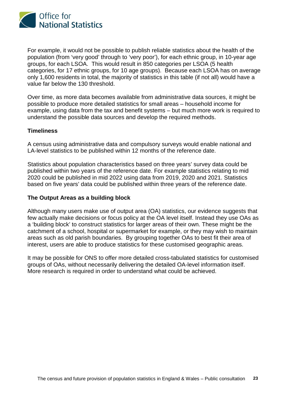

For example, it would not be possible to publish reliable statistics about the health of the population (from 'very good' through to 'very poor'), for each ethnic group, in 10-year age groups, for each LSOA. This would result in 850 categories per LSOA (5 health categories, for 17 ethnic groups, for 10 age groups). Because each LSOA has on average only 1,600 residents in total, the majority of statistics in this table (if not all) would have a value far below the 130 threshold.

Over time, as more data becomes available from administrative data sources, it might be possible to produce more detailed statistics for small areas – household income for example, using data from the tax and benefit systems – but much more work is required to understand the possible data sources and develop the required methods.

#### **Timeliness**

A census using administrative data and compulsory surveys would enable national and LA-level statistics to be published within 12 months of the reference date.

Statistics about population characteristics based on three years' survey data could be published within two years of the reference date. For example statistics relating to mid 2020 could be published in mid 2022 using data from 2019, 2020 and 2021. Statistics based on five years' data could be published within three years of the reference date.

#### **The Output Areas as a building block**

Although many users make use of output area (OA) statistics, our evidence suggests that few actually make decisions or focus policy at the OA level itself. Instead they use OAs as a 'building block' to construct statistics for larger areas of their own. These might be the catchment of a school, hospital or supermarket for example, or they may wish to maintain areas such as old parish boundaries. By grouping together OAs to best fit their area of interest, users are able to produce statistics for these customised geographic areas.

It may be possible for ONS to offer more detailed cross-tabulated statistics for customised groups of OAs, without necessarily delivering the detailed OA-level information itself. More research is required in order to understand what could be achieved.